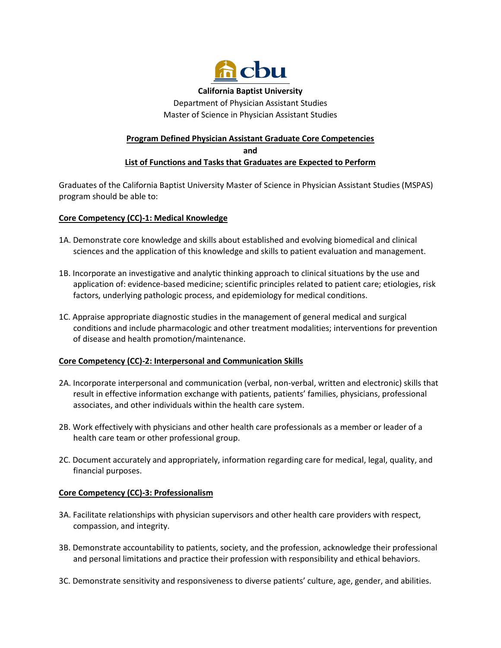

**California Baptist University**

Department of Physician Assistant Studies Master of Science in Physician Assistant Studies

# **Program Defined Physician Assistant Graduate Core Competencies and List of Functions and Tasks that Graduates are Expected to Perform**

Graduates of the California Baptist University Master of Science in Physician Assistant Studies (MSPAS) program should be able to:

## **Core Competency (CC)-1: Medical Knowledge**

- 1A. Demonstrate core knowledge and skills about established and evolving biomedical and clinical sciences and the application of this knowledge and skills to patient evaluation and management.
- 1B. Incorporate an investigative and analytic thinking approach to clinical situations by the use and application of: evidence-based medicine; scientific principles related to patient care; etiologies, risk factors, underlying pathologic process, and epidemiology for medical conditions.
- 1C. Appraise appropriate diagnostic studies in the management of general medical and surgical conditions and include pharmacologic and other treatment modalities; interventions for prevention of disease and health promotion/maintenance.

## **Core Competency (CC)-2: Interpersonal and Communication Skills**

- 2A. Incorporate interpersonal and communication (verbal, non-verbal, written and electronic) skills that result in effective information exchange with patients, patients' families, physicians, professional associates, and other individuals within the health care system.
- 2B. Work effectively with physicians and other health care professionals as a member or leader of a health care team or other professional group.
- 2C. Document accurately and appropriately, information regarding care for medical, legal, quality, and financial purposes.

## **Core Competency (CC)-3: Professionalism**

- 3A. Facilitate relationships with physician supervisors and other health care providers with respect, compassion, and integrity.
- 3B. Demonstrate accountability to patients, society, and the profession, acknowledge their professional and personal limitations and practice their profession with responsibility and ethical behaviors.
- 3C. Demonstrate sensitivity and responsiveness to diverse patients' culture, age, gender, and abilities.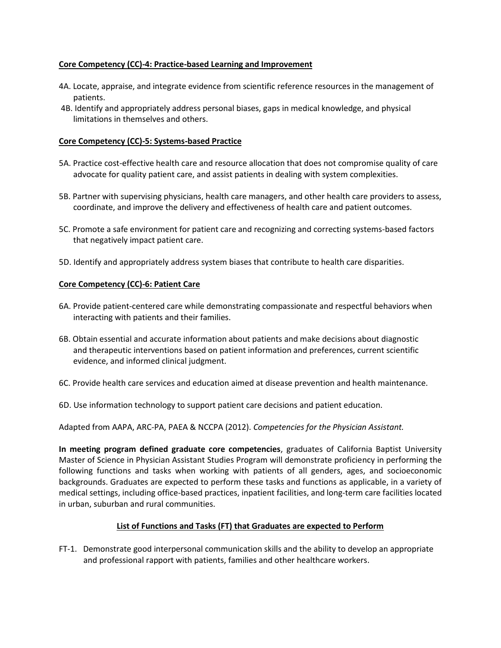### **Core Competency (CC)-4: Practice-based Learning and Improvement**

- 4A. Locate, appraise, and integrate evidence from scientific reference resources in the management of patients.
- 4B. Identify and appropriately address personal biases, gaps in medical knowledge, and physical limitations in themselves and others.

#### **Core Competency (CC)-5: Systems-based Practice**

- 5A. Practice cost-effective health care and resource allocation that does not compromise quality of care advocate for quality patient care, and assist patients in dealing with system complexities.
- 5B. Partner with supervising physicians, health care managers, and other health care providers to assess, coordinate, and improve the delivery and effectiveness of health care and patient outcomes.
- 5C. Promote a safe environment for patient care and recognizing and correcting systems-based factors that negatively impact patient care.
- 5D. Identify and appropriately address system biases that contribute to health care disparities.

#### **Core Competency (CC)-6: Patient Care**

- 6A. Provide patient-centered care while demonstrating compassionate and respectful behaviors when interacting with patients and their families.
- 6B. Obtain essential and accurate information about patients and make decisions about diagnostic and therapeutic interventions based on patient information and preferences, current scientific evidence, and informed clinical judgment.
- 6C. Provide health care services and education aimed at disease prevention and health maintenance.
- 6D. Use information technology to support patient care decisions and patient education.

Adapted from AAPA, ARC-PA, PAEA & NCCPA (2012). *Competencies for the Physician Assistant.*

**In meeting program defined graduate core competencies**, graduates of California Baptist University Master of Science in Physician Assistant Studies Program will demonstrate proficiency in performing the following functions and tasks when working with patients of all genders, ages, and socioeconomic backgrounds. Graduates are expected to perform these tasks and functions as applicable, in a variety of medical settings, including office-based practices, inpatient facilities, and long-term care facilities located in urban, suburban and rural communities.

### **List of Functions and Tasks (FT) that Graduates are expected to Perform**

FT-1. Demonstrate good interpersonal communication skills and the ability to develop an appropriate and professional rapport with patients, families and other healthcare workers.